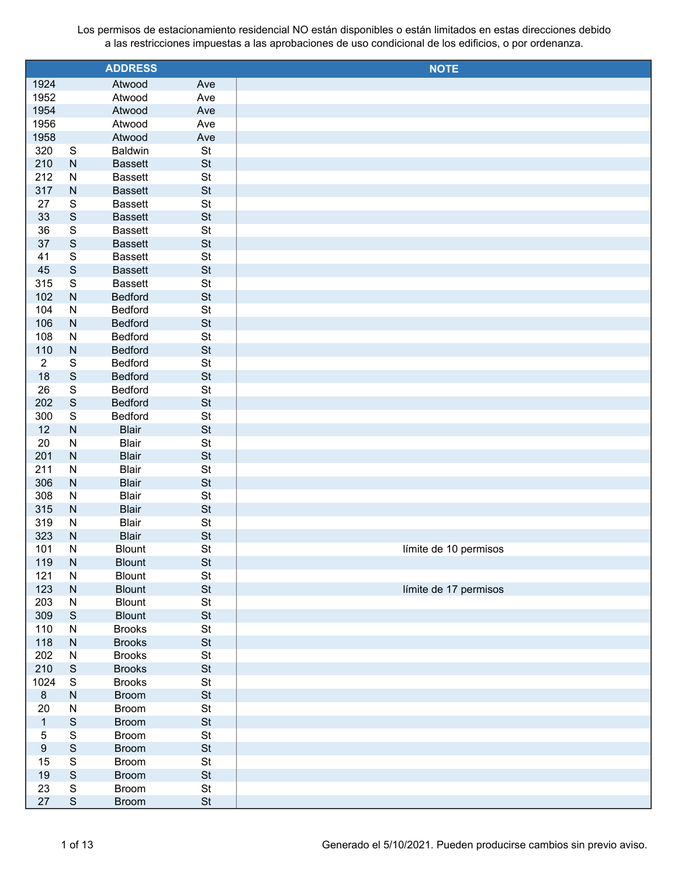|                |                         | <b>ADDRESS</b>               |                 | <b>NOTE</b>           |
|----------------|-------------------------|------------------------------|-----------------|-----------------------|
| 1924           |                         | Atwood                       | Ave             |                       |
| 1952           |                         | Atwood                       | Ave             |                       |
| 1954           |                         | Atwood                       | Ave             |                       |
| 1956           |                         | Atwood                       | Ave             |                       |
| 1958           |                         | Atwood                       | Ave             |                       |
| 320            | S                       | <b>Baldwin</b>               | St              |                       |
| 210            | $\mathsf{N}$            | <b>Bassett</b>               | St              |                       |
| 212            | ${\sf N}$               | <b>Bassett</b>               | St              |                       |
| 317            | $\mathsf{N}$            | <b>Bassett</b>               | <b>St</b>       |                       |
| 27             | $\mathbb S$             | <b>Bassett</b>               | St              |                       |
| 33             | $\mathsf S$             | <b>Bassett</b>               | <b>St</b>       |                       |
| 36             | $\mathbb S$             | <b>Bassett</b>               | St              |                       |
| 37             | $\mathsf S$             | <b>Bassett</b>               | <b>St</b>       |                       |
| 41             | $\mathbf S$             | <b>Bassett</b>               | St              |                       |
| 45             | $\mathsf S$             | <b>Bassett</b>               | <b>St</b>       |                       |
| 315            | $\mathbf S$             | <b>Bassett</b>               | St              |                       |
| 102            | ${\sf N}$               | <b>Bedford</b>               | <b>St</b>       |                       |
| 104            | ${\sf N}$               | Bedford                      | St              |                       |
| 106            | ${\sf N}$               | <b>Bedford</b>               | <b>St</b>       |                       |
| 108            | ${\sf N}$               | Bedford                      | St              |                       |
| 110            | $\mathsf{N}$            | <b>Bedford</b>               | <b>St</b>       |                       |
| $\overline{2}$ | $\mathbb S$             | Bedford                      | St              |                       |
| 18             | $\mathsf S$             | <b>Bedford</b>               | <b>St</b>       |                       |
| 26             | $\mathbb S$             | Bedford                      | St              |                       |
| 202            | $\mathbf S$             | <b>Bedford</b>               | <b>St</b>       |                       |
| 300            | $\mathbf S$             | Bedford                      | St              |                       |
| 12             | ${\sf N}$               | <b>Blair</b>                 | <b>St</b>       |                       |
| 20             | ${\sf N}$               | <b>Blair</b><br><b>Blair</b> | St<br><b>St</b> |                       |
| 201<br>211     | ${\sf N}$<br>${\sf N}$  | <b>Blair</b>                 | St              |                       |
| 306            | ${\sf N}$               | <b>Blair</b>                 | <b>St</b>       |                       |
| 308            | ${\sf N}$               | <b>Blair</b>                 | St              |                       |
| 315            | ${\sf N}$               | <b>Blair</b>                 | <b>St</b>       |                       |
| 319            | ${\sf N}$               | <b>Blair</b>                 | St              |                       |
| 323            | $\mathsf{N}$            | <b>Blair</b>                 | <b>St</b>       |                       |
| 101            | N                       | <b>Blount</b>                | <b>St</b>       | límite de 10 permisos |
| 119            | ${\sf N}$               | <b>Blount</b>                | St              |                       |
| 121            | ${\sf N}$               | <b>Blount</b>                | $\mathsf{St}$   |                       |
| 123            | ${\sf N}$               | <b>Blount</b>                | <b>St</b>       | límite de 17 permisos |
| 203            | ${\sf N}$               | Blount                       | $\mathsf{St}$   |                       |
| 309            | $\mathbf S$             | <b>Blount</b>                | $\mathsf{St}$   |                       |
| 110            | ${\sf N}$               | <b>Brooks</b>                | $\mathsf{St}$   |                       |
| 118            | ${\sf N}$               | <b>Brooks</b>                | $\mathsf{St}$   |                       |
| 202            | ${\sf N}$               | <b>Brooks</b>                | $\mathsf{St}$   |                       |
| 210            | $\mathsf S$             | <b>Brooks</b>                | $\mathsf{St}$   |                       |
| 1024           | $\mathbf S$             | <b>Brooks</b>                | $\mathsf{St}$   |                       |
| $\bf 8$        | ${\sf N}$               | <b>Broom</b>                 | $\mathsf{St}$   |                       |
| 20             | ${\sf N}$               | <b>Broom</b>                 | $\mathsf{St}$   |                       |
| $\mathbf{1}$   | $\mathsf S$             | <b>Broom</b>                 | $\mathsf{St}$   |                       |
| $\overline{5}$ | $\mathsf S$             | <b>Broom</b>                 | $\mathsf{St}$   |                       |
| $9\,$          | $\mathsf S$             | <b>Broom</b>                 | $\mathsf{St}$   |                       |
| 15             | $\overline{\mathbb{S}}$ | <b>Broom</b>                 | $\mathsf{St}$   |                       |
| $19$           | $\mathsf S$             | <b>Broom</b>                 | $\mathsf{St}$   |                       |
| 23             | $\mathsf S$             | <b>Broom</b>                 | $\mathsf{St}$   |                       |
| 27             | $\mathsf S$             | <b>Broom</b>                 | St              |                       |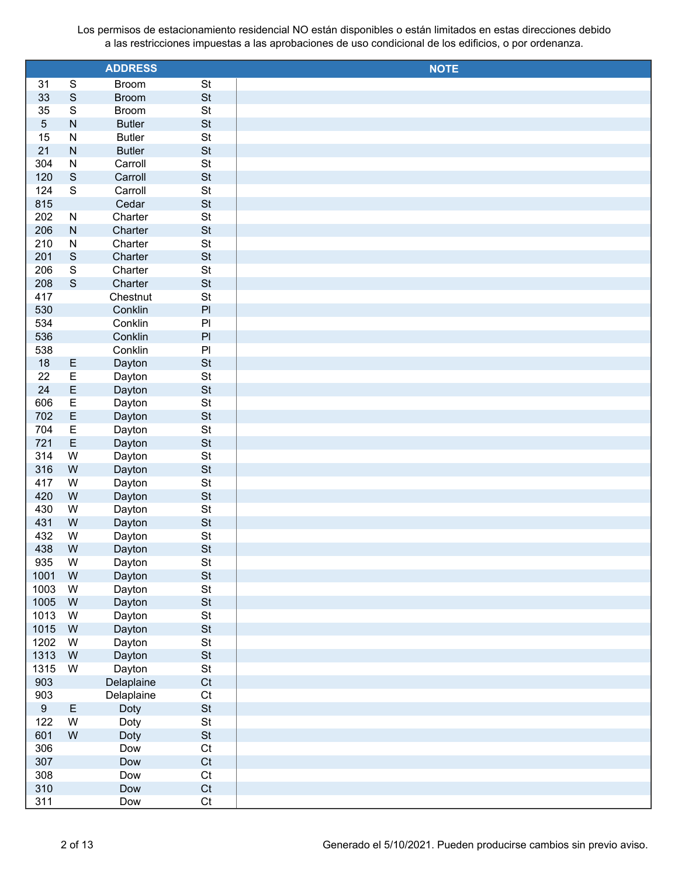|             |                              | <b>ADDRESS</b>       |                                 | <b>NOTE</b> |
|-------------|------------------------------|----------------------|---------------------------------|-------------|
| 31          | ${\mathsf S}$                | <b>Broom</b>         | St                              |             |
| 33          | $\mathsf S$                  | <b>Broom</b>         | <b>St</b>                       |             |
| 35          | $\mathsf S$                  | <b>Broom</b>         | $\mathsf{St}$                   |             |
| $\sqrt{5}$  | ${\sf N}$                    | <b>Butler</b>        | <b>St</b>                       |             |
| 15          | ${\sf N}$                    | <b>Butler</b>        | St                              |             |
| 21          | ${\sf N}$                    | <b>Butler</b>        | <b>St</b>                       |             |
| 304         | ${\sf N}$                    | Carroll              | St                              |             |
| 120         | $\mathsf S$                  | Carroll              | <b>St</b>                       |             |
| 124         | ${\mathsf S}$                | Carroll              | St                              |             |
| 815         |                              | Cedar                | <b>St</b>                       |             |
| 202         | ${\sf N}$                    | Charter              | St                              |             |
| 206         | ${\sf N}$                    | Charter              | <b>St</b>                       |             |
| 210         | ${\sf N}$                    | Charter              | St                              |             |
| 201         | $\mathsf S$                  | Charter              | <b>St</b>                       |             |
| 206         | ${\mathsf S}$<br>$\mathsf S$ | Charter              | St                              |             |
| 208<br>417  |                              | Charter<br>Chestnut  | <b>St</b><br><b>St</b>          |             |
| 530         |                              | Conklin              | $\mathsf{Pl}$                   |             |
| 534         |                              | Conklin              | $\mathsf{Pl}$                   |             |
| 536         |                              | Conklin              | $\mathsf{Pl}$                   |             |
| 538         |                              | Conklin              | $\mathsf{Pl}$                   |             |
| 18          |                              | Dayton               | <b>St</b>                       |             |
| 22          | $rac{E}{E}$                  | Dayton               | <b>St</b>                       |             |
| 24          | $\mathsf E$                  | Dayton               | <b>St</b>                       |             |
| 606         | $\overline{\mathsf{E}}$      | Dayton               | St                              |             |
| 702         | $\mathsf E$                  | Dayton               | St                              |             |
| 704         | $\overline{\mathsf{E}}$      | Dayton               | St                              |             |
| 721         | $\mathsf E$                  | Dayton               | St                              |             |
| 314         | W                            | Dayton               | St                              |             |
| 316         | W                            | Dayton               | <b>St</b>                       |             |
| 417         | W                            | Dayton               | St                              |             |
| 420         | W                            | Dayton               | <b>St</b>                       |             |
| 430         | W                            | Dayton               | <b>St</b>                       |             |
| 431         | W                            | Dayton               | <b>St</b>                       |             |
| 432         | W                            | Dayton               | <b>St</b>                       |             |
| 438         | W                            | Dayton               | <b>St</b>                       |             |
| 935         | W                            | Dayton               | $\mathsf{St}$                   |             |
| 1001        | W                            | Dayton               | <b>St</b>                       |             |
| 1003        | W                            | Dayton               | $\mathsf{St}$                   |             |
| 1005        | W                            | Dayton               | <b>St</b>                       |             |
| 1013        | W                            | Dayton               | $\mathsf{St}$                   |             |
| 1015        | W                            | Dayton               | <b>St</b>                       |             |
| 1202        | W                            | Dayton               | $\mathsf{St}$                   |             |
| 1313        | W                            | Dayton               | <b>St</b>                       |             |
| 1315<br>903 | W                            | Dayton<br>Delaplaine | $\mathsf{St}$<br>C <sub>t</sub> |             |
| 903         |                              | Delaplaine           | Ct                              |             |
| $9\,$       | $\mathsf E$                  | Doty                 | $\mathsf{St}$                   |             |
| 122         | W                            | Doty                 | $\mathsf{St}$                   |             |
| 601         | W                            | Doty                 | $\mathsf{St}$                   |             |
| 306         |                              | Dow                  | Ct                              |             |
| 307         |                              | Dow                  | C <sub>t</sub>                  |             |
| 308         |                              | Dow                  | Ct                              |             |
| 310         |                              | Dow                  | C <sub>t</sub>                  |             |
| 311         |                              | Dow                  | Ct                              |             |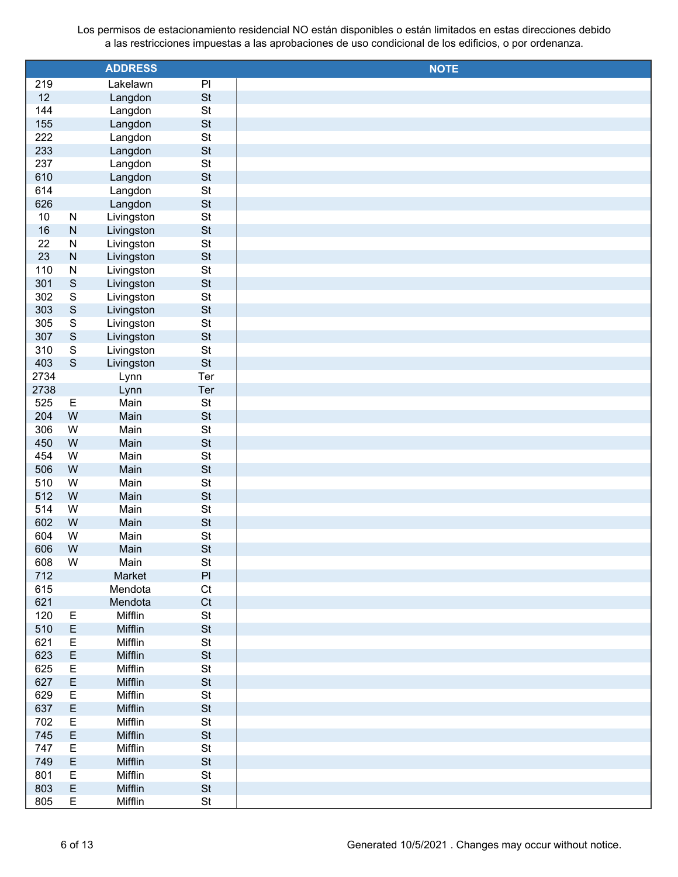|      |              | <b>ADDRESS</b> |                 | <b>NOTE</b> |
|------|--------------|----------------|-----------------|-------------|
| 219  |              | Lakelawn       | $\overline{PI}$ |             |
| 12   |              | Langdon        | <b>St</b>       |             |
| 144  |              | Langdon        | <b>St</b>       |             |
| 155  |              | Langdon        | <b>St</b>       |             |
| 222  |              | Langdon        | <b>St</b>       |             |
| 233  |              | Langdon        | <b>St</b>       |             |
| 237  |              | Langdon        | <b>St</b>       |             |
| 610  |              | Langdon        | <b>St</b>       |             |
| 614  |              | Langdon        | <b>St</b>       |             |
| 626  |              | Langdon        | <b>St</b>       |             |
| 10   | ${\sf N}$    | Livingston     | <b>St</b>       |             |
| 16   | ${\sf N}$    | Livingston     | <b>St</b>       |             |
| 22   | ${\sf N}$    | Livingston     | <b>St</b>       |             |
| 23   | ${\sf N}$    | Livingston     | <b>St</b>       |             |
| 110  | ${\sf N}$    | Livingston     | <b>St</b>       |             |
| 301  | $\mathsf S$  | Livingston     | <b>St</b>       |             |
| 302  | $\mathbf S$  | Livingston     | <b>St</b>       |             |
| 303  | $\mathsf S$  | Livingston     | <b>St</b>       |             |
| 305  | $\mathsf S$  | Livingston     | <b>St</b>       |             |
| 307  | $\mathsf S$  | Livingston     | <b>St</b>       |             |
| 310  | $\mathbb S$  | Livingston     | St              |             |
| 403  | $\mathsf{S}$ | Livingston     | <b>St</b>       |             |
| 2734 |              | Lynn           | Ter             |             |
| 2738 |              | Lynn           | Ter             |             |
| 525  | E            | Main           | St              |             |
| 204  | W            | Main           | <b>St</b>       |             |
| 306  | W            | Main           | <b>St</b>       |             |
| 450  | W            | Main           | <b>St</b>       |             |
| 454  | W            | Main           | <b>St</b>       |             |
| 506  | W            | Main           | <b>St</b>       |             |
| 510  | W            | Main           | <b>St</b>       |             |
| 512  | W            | Main           | <b>St</b>       |             |
| 514  | W            | Main           | <b>St</b>       |             |
| 602  | W            | Main           | <b>St</b>       |             |
| 604  | W            | Main           | <b>St</b>       |             |
| 606  | W            | Main           | <b>St</b>       |             |
| 608  | W            | Main           | St              |             |
| 712  |              | Market         | $\mathsf{Pl}$   |             |
| 615  |              | Mendota        | C <sub>t</sub>  |             |
| 621  |              | Mendota        | Ct              |             |
| 120  | Ε            | Mifflin        | St              |             |
| 510  | $\mathsf E$  | Mifflin        | <b>St</b>       |             |
| 621  | E            | Mifflin        | St              |             |
| 623  | $\mathsf E$  | Mifflin        | <b>St</b>       |             |
| 625  | E            | Mifflin        | St              |             |
| 627  | $\mathsf E$  | Mifflin        | <b>St</b>       |             |
| 629  | E            | Mifflin        | St              |             |
| 637  | $\mathsf E$  | Mifflin        | <b>St</b>       |             |
| 702  | E            | Mifflin        | St              |             |
| 745  | $\mathsf E$  | Mifflin        | <b>St</b>       |             |
| 747  | E            | Mifflin        | St              |             |
| 749  | $\mathsf E$  | Mifflin        | <b>St</b>       |             |
| 801  | E            | Mifflin        | St              |             |
| 803  | $\mathsf E$  | Mifflin        | <b>St</b>       |             |
| 805  | E            | Mifflin        | St              |             |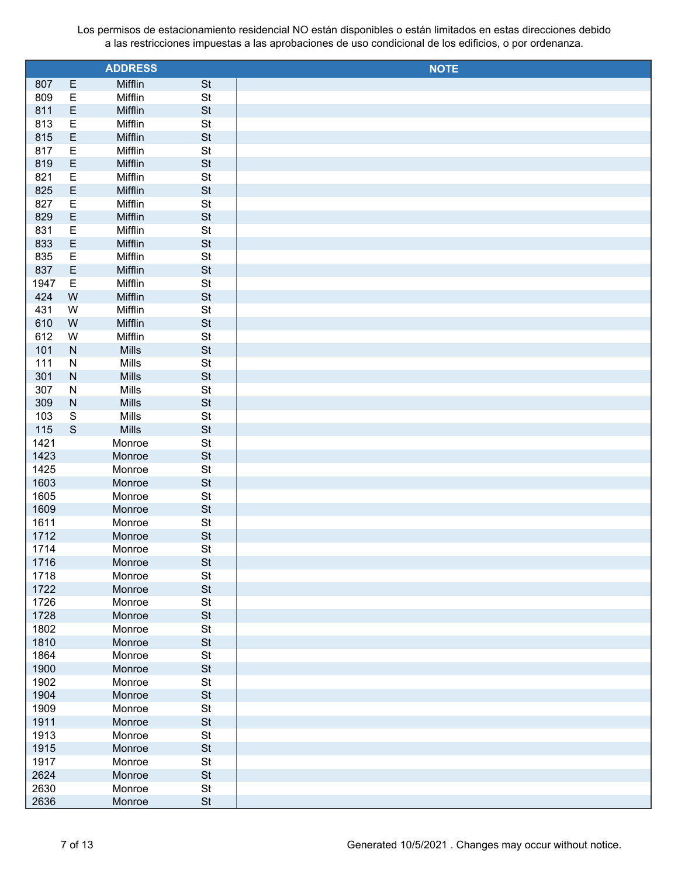|              |                | <b>ADDRESS</b>     |                 | <b>NOTE</b> |
|--------------|----------------|--------------------|-----------------|-------------|
| 807          | E              | Mifflin            | <b>St</b>       |             |
| 809          | E              | Mifflin            | $\mathsf{St}$   |             |
| 811          | E              | Mifflin            | <b>St</b>       |             |
| 813          | $\mathsf E$    | Mifflin            | St              |             |
| 815          | E              | Mifflin            | <b>St</b>       |             |
| 817          | $\mathsf E$    | Mifflin            | St              |             |
| 819          | E              | Mifflin            | <b>St</b>       |             |
| 821          | $\mathsf E$    | Mifflin            | St              |             |
| 825          | E              | Mifflin            | <b>St</b>       |             |
| 827          | $\mathsf E$    | Mifflin            | St              |             |
| 829          | E              | Mifflin            | <b>St</b>       |             |
| 831          | $\mathsf E$    | Mifflin            | St              |             |
| 833          | E              | Mifflin            | <b>St</b>       |             |
| 835          | $\mathsf E$    | Mifflin            | St              |             |
| 837          | E              | Mifflin            | <b>St</b>       |             |
| 1947         | $\mathsf E$    | Mifflin            | St              |             |
| 424          | ${\sf W}$      | Mifflin            | <b>St</b>       |             |
| 431          | W<br>${\sf W}$ | Mifflin<br>Mifflin | St<br><b>St</b> |             |
| 610<br>612   | W              | Mifflin            | St              |             |
| 101          | ${\sf N}$      | Mills              | <b>St</b>       |             |
| 111          | ${\sf N}$      | Mills              | St              |             |
| 301          | ${\sf N}$      | Mills              | <b>St</b>       |             |
| 307          | ${\sf N}$      | Mills              | St              |             |
| 309          | ${\sf N}$      | Mills              | <b>St</b>       |             |
| 103          | ${\mathsf S}$  | Mills              | St              |             |
| 115          | $\mathbf S$    | Mills              | <b>St</b>       |             |
| 1421         |                | Monroe             | St              |             |
| 1423         |                | Monroe             | <b>St</b>       |             |
| 1425         |                | Monroe             | St              |             |
| 1603         |                | Monroe             | <b>St</b>       |             |
| 1605         |                | Monroe             | St              |             |
| 1609         |                | Monroe             | <b>St</b>       |             |
| 1611         |                | Monroe             | St              |             |
| 1712         |                | Monroe             | <b>St</b>       |             |
| 1714         |                | Monroe             | St              |             |
| 1716         |                | Monroe             | <b>St</b>       |             |
| 1718         |                | Monroe             | St              |             |
| 1722         |                | Monroe             | <b>St</b>       |             |
| 1726         |                | Monroe             | St              |             |
| 1728         |                | Monroe             | <b>St</b>       |             |
| 1802         |                | Monroe             | St              |             |
| 1810         |                | Monroe             | <b>St</b>       |             |
| 1864<br>1900 |                | Monroe<br>Monroe   | St<br><b>St</b> |             |
| 1902         |                | Monroe             | St              |             |
| 1904         |                | Monroe             | <b>St</b>       |             |
| 1909         |                | Monroe             | St              |             |
| 1911         |                | Monroe             | <b>St</b>       |             |
| 1913         |                | Monroe             | St              |             |
| 1915         |                | Monroe             | <b>St</b>       |             |
| 1917         |                | Monroe             | St              |             |
| 2624         |                | Monroe             | <b>St</b>       |             |
| 2630         |                | Monroe             | $\mathsf{St}$   |             |
| 2636         |                | Monroe             | <b>St</b>       |             |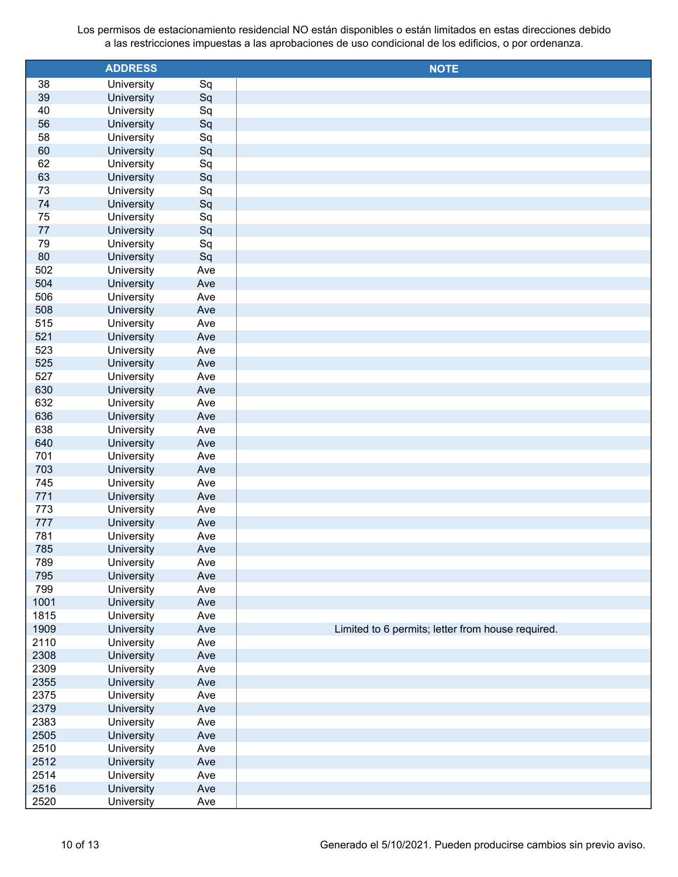|            | <b>ADDRESS</b>           |            | <b>NOTE</b>                                       |
|------------|--------------------------|------------|---------------------------------------------------|
| 38         | University               | Sq         |                                                   |
| 39         | University               | Sq         |                                                   |
| 40         | University               | Sq         |                                                   |
| 56         | University               | Sq         |                                                   |
| 58         | University               | Sq         |                                                   |
| 60         | University               | Sq         |                                                   |
| 62         | University               | Sq         |                                                   |
| 63         | University               | Sq         |                                                   |
| 73         | University               | Sq         |                                                   |
| 74         | University               | Sq         |                                                   |
| 75         | University               | Sq         |                                                   |
| 77         | University               | Sq         |                                                   |
| 79         | University               | Sq         |                                                   |
| 80         | University               | Sq         |                                                   |
| 502        | University               | Ave        |                                                   |
| 504        | University               | Ave        |                                                   |
| 506        | University               | Ave        |                                                   |
| 508        | University               | Ave        |                                                   |
| 515        | University               | Ave        |                                                   |
| 521        | University               | Ave        |                                                   |
| 523        | University               | Ave        |                                                   |
| 525        | University               | Ave        |                                                   |
| 527        | University               | Ave        |                                                   |
| 630        | University               | Ave        |                                                   |
| 632        | University               | Ave        |                                                   |
| 636        | University               | Ave        |                                                   |
| 638        | University               | Ave        |                                                   |
| 640        | University               | Ave        |                                                   |
| 701        | University               | Ave        |                                                   |
| 703        | University               | Ave        |                                                   |
| 745        | University               | Ave        |                                                   |
| 771        | University               | Ave        |                                                   |
| 773        | University               | Ave        |                                                   |
| 777        | University               | Ave        |                                                   |
| 781        | University<br>University | Ave        |                                                   |
| 785        |                          | Ave        |                                                   |
| 789        | University<br>University | Ave<br>Ave |                                                   |
| 795<br>799 | University               | Ave        |                                                   |
| 1001       | University               | Ave        |                                                   |
| 1815       | University               | Ave        |                                                   |
| 1909       | University               | Ave        | Limited to 6 permits; letter from house required. |
| 2110       | University               | Ave        |                                                   |
| 2308       | University               | Ave        |                                                   |
| 2309       | University               | Ave        |                                                   |
| 2355       | University               | Ave        |                                                   |
| 2375       | University               | Ave        |                                                   |
| 2379       | University               | Ave        |                                                   |
| 2383       | University               | Ave        |                                                   |
| 2505       | University               | Ave        |                                                   |
| 2510       | University               | Ave        |                                                   |
| 2512       | University               | Ave        |                                                   |
| 2514       | University               | Ave        |                                                   |
| 2516       | University               | Ave        |                                                   |
| 2520       | University               | Ave        |                                                   |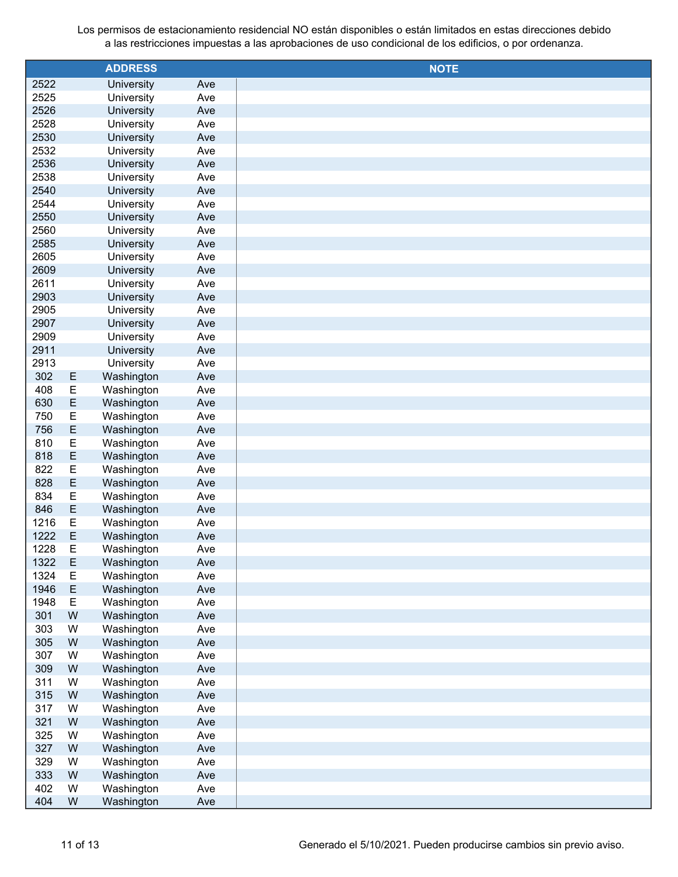|              |                  | <b>ADDRESS</b>           |            | <b>NOTE</b> |
|--------------|------------------|--------------------------|------------|-------------|
| 2522         |                  | University               | Ave        |             |
| 2525         |                  | University               | Ave        |             |
| 2526         |                  | University               | Ave        |             |
| 2528         |                  | University               | Ave        |             |
| 2530         |                  | University               | Ave        |             |
| 2532         |                  | University               | Ave        |             |
| 2536         |                  | University               | Ave        |             |
| 2538         |                  | University               | Ave        |             |
| 2540         |                  | University               | Ave        |             |
| 2544         |                  | University               | Ave        |             |
| 2550         |                  | University               | Ave        |             |
| 2560         |                  | University               | Ave        |             |
| 2585         |                  | University               | Ave        |             |
| 2605         |                  | University               | Ave        |             |
| 2609         |                  | University               | Ave        |             |
| 2611         |                  | University               | Ave        |             |
| 2903         |                  | University               | Ave        |             |
| 2905         |                  | University               | Ave        |             |
| 2907         |                  | University               | Ave        |             |
| 2909         |                  | University               | Ave        |             |
| 2911         |                  | University               | Ave        |             |
| 2913         |                  | University               | Ave        |             |
| 302          | E                | Washington               | Ave        |             |
| 408          | E                | Washington               | Ave        |             |
| 630          | $\mathsf E$      | Washington               | Ave        |             |
| 750          | E                | Washington               | Ave        |             |
| 756          | $\mathsf E$      | Washington               | Ave        |             |
| 810          | E                | Washington               | Ave        |             |
| 818          | $\mathsf E$      | Washington               | Ave        |             |
| 822          | $\mathsf E$      | Washington               | Ave        |             |
| 828          | $\mathsf E$      | Washington               | Ave        |             |
| 834          | E                | Washington               | Ave        |             |
| 846          | $\mathsf E$      | Washington               | Ave        |             |
| 1216         | E                | Washington               | Ave        |             |
| 1222         | E                | Washington               | Ave        |             |
| 1228         | E                | Washington               | Ave        |             |
| 1322<br>1324 | $\mathsf E$<br>E | Washington               | Ave        |             |
| 1946         | $\mathsf E$      | Washington<br>Washington | Ave        |             |
| 1948         | E                | Washington               | Ave        |             |
| 301          | ${\sf W}$        | Washington               | Ave<br>Ave |             |
| 303          | W                | Washington               | Ave        |             |
| 305          | ${\sf W}$        | Washington               | Ave        |             |
| 307          | W                | Washington               | Ave        |             |
| 309          | ${\sf W}$        | Washington               | Ave        |             |
| 311          | W                | Washington               | Ave        |             |
| 315          | ${\sf W}$        | Washington               | Ave        |             |
| 317          | W                | Washington               | Ave        |             |
| 321          | ${\sf W}$        | Washington               | Ave        |             |
| 325          | W                | Washington               | Ave        |             |
| 327          | ${\sf W}$        | Washington               | Ave        |             |
| 329          | W                | Washington               | Ave        |             |
| 333          | ${\sf W}$        | Washington               | Ave        |             |
| 402          | W                | Washington               | Ave        |             |
| 404          | W                | Washington               | Ave        |             |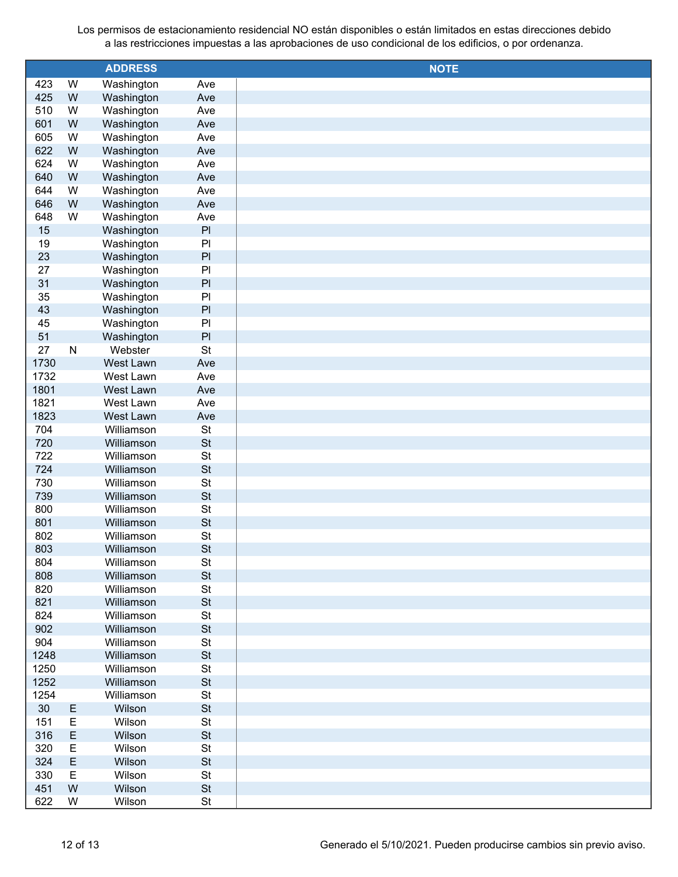| <b>ADDRESS</b><br><b>NOTE</b><br>W<br>Washington<br>423<br>Ave<br>${\sf W}$<br>425<br>Washington<br>Ave<br>510<br>W<br>Washington<br>Ave |  |
|------------------------------------------------------------------------------------------------------------------------------------------|--|
|                                                                                                                                          |  |
|                                                                                                                                          |  |
|                                                                                                                                          |  |
| 601<br>W<br>Washington<br>Ave                                                                                                            |  |
| 605<br>W<br>Washington<br>Ave                                                                                                            |  |
| W<br>622<br>Washington<br>Ave                                                                                                            |  |
| 624<br>W<br>Washington<br>Ave                                                                                                            |  |
| W<br>640<br>Washington<br>Ave                                                                                                            |  |
| 644<br>W<br>Washington<br>Ave                                                                                                            |  |
| W<br>646<br>Washington<br>Ave                                                                                                            |  |
| 648<br>W<br>Washington<br>Ave                                                                                                            |  |
| $\mathsf{Pl}$<br>15<br>Washington                                                                                                        |  |
| Washington<br>P<br>19                                                                                                                    |  |
| $\mathsf{Pl}$<br>23<br>Washington                                                                                                        |  |
| 27<br>Washington<br>P <sub>1</sub>                                                                                                       |  |
| PI<br>31<br>Washington                                                                                                                   |  |
| Washington<br>P <sub>1</sub><br>35                                                                                                       |  |
| PI<br>43<br>Washington                                                                                                                   |  |
| 45<br>Washington<br>P                                                                                                                    |  |
| $\mathsf{Pl}$<br>51<br>Washington                                                                                                        |  |
| 27<br>Webster<br>St<br>$\mathsf{N}$                                                                                                      |  |
| 1730<br>West Lawn<br>Ave                                                                                                                 |  |
| 1732<br>West Lawn<br>Ave                                                                                                                 |  |
| 1801<br>West Lawn<br>Ave                                                                                                                 |  |
| 1821<br>West Lawn<br>Ave                                                                                                                 |  |
| 1823<br>West Lawn<br>Ave                                                                                                                 |  |
| 704<br>Williamson<br>St                                                                                                                  |  |
| <b>St</b><br>720<br>Williamson                                                                                                           |  |
| 722<br>Williamson<br><b>St</b>                                                                                                           |  |
| <b>St</b><br>724<br>Williamson                                                                                                           |  |
| 730<br><b>St</b><br>Williamson                                                                                                           |  |
| <b>St</b><br>739<br>Williamson                                                                                                           |  |
| 800<br><b>St</b><br>Williamson                                                                                                           |  |
| <b>St</b><br>801<br>Williamson                                                                                                           |  |
| 802<br><b>St</b><br>Williamson                                                                                                           |  |
| <b>St</b><br>803<br>Williamson                                                                                                           |  |
| 804<br>Williamson<br><b>St</b>                                                                                                           |  |
| 808<br><b>St</b><br>Williamson                                                                                                           |  |
| St<br>820<br>Williamson                                                                                                                  |  |
| 821<br>St<br>Williamson                                                                                                                  |  |
| 824<br><b>St</b><br>Williamson                                                                                                           |  |
| 902<br>St<br>Williamson                                                                                                                  |  |
| 904<br><b>St</b><br>Williamson                                                                                                           |  |
| St<br>1248<br>Williamson                                                                                                                 |  |
| 1250<br><b>St</b><br>Williamson                                                                                                          |  |
| 1252<br>St<br>Williamson                                                                                                                 |  |
| 1254<br><b>St</b><br>Williamson                                                                                                          |  |
| 30<br>St<br>Ε<br>Wilson                                                                                                                  |  |
| $\mathsf E$<br>St<br>151<br>Wilson                                                                                                       |  |
| $\mathsf E$<br>St<br>316<br>Wilson                                                                                                       |  |
| E<br>St<br>320<br>Wilson                                                                                                                 |  |
| E<br>St<br>324<br>Wilson                                                                                                                 |  |
| 330<br>Ε<br>Wilson<br><b>St</b>                                                                                                          |  |
| St<br>451<br>${\sf W}$<br>Wilson                                                                                                         |  |
| 622<br>W<br>Wilson<br><b>St</b>                                                                                                          |  |